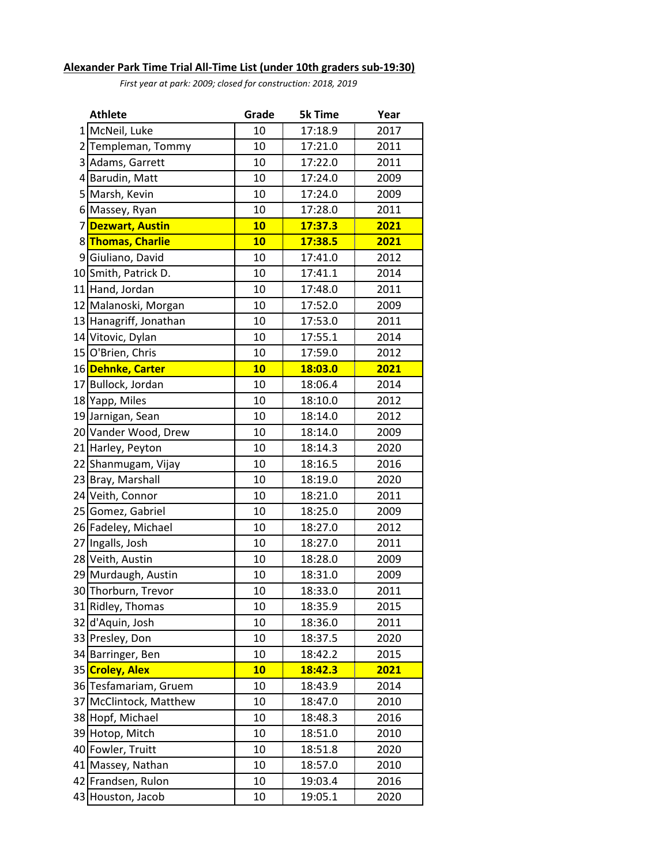## **Alexander Park Time Trial All-Time List (under 10th graders sub-19:30)**

*First year at park: 2009; closed for construction: 2018, 2019*

|    | <b>Athlete</b>         | Grade | <b>5k Time</b>             | Year |
|----|------------------------|-------|----------------------------|------|
|    | 1 McNeil, Luke         | 10    | Į<br>17:18.9               | 2017 |
| 2  | Templeman, Tommy       | 10    | 17:21.0                    | 2011 |
| 3  | Adams, Garrett         | 10    | 17:22.0                    | 2011 |
| 4  | Barudin, Matt          | 10    | 17:24.0                    | 2009 |
|    | 5 Marsh, Kevin         | 10    | 17:24.0                    | 2009 |
|    | 6 Massey, Ryan         | 10    | 17:28.0                    | 2011 |
| 7  | <b>Dezwart, Austin</b> | 10    | 17:37.3                    | 2021 |
|    | 8 Thomas, Charlie      | 10    | 17:38.5                    | 2021 |
| 9  | Giuliano, David        | 10    | 17:41.0                    | 2012 |
|    | 10 Smith, Patrick D.   | 10    | 17:41.1                    | 2014 |
|    | 11 Hand, Jordan        | 10    | 17:48.0                    | 2011 |
|    | 12 Malanoski, Morgan   | 10    | 17:52.0                    | 2009 |
|    | 13 Hanagriff, Jonathan | 10    | 17:53.0                    | 2011 |
|    | 14 Vitovic, Dylan      | 10    | 17:55.1                    | 2014 |
|    | 15 O'Brien, Chris      | 10    | 17:59.0                    | 2012 |
|    | 16 Dehnke, Carter      | 10    | 18:03.0                    | 2021 |
|    | 17 Bullock, Jordan     | 10    | 18:06.4                    | 2014 |
|    | 18 Yapp, Miles         | 10    | 18:10.0                    | 2012 |
|    | 19 Jarnigan, Sean      | 10    | 18:14.0                    | 2012 |
|    | 20 Vander Wood, Drew   | 10    | 18:14.0                    | 2009 |
|    | 21 Harley, Peyton      | 10    | 18:14.3                    | 2020 |
|    | 22 Shanmugam, Vijay    | 10    | 18:16.5                    | 2016 |
|    | 23 Bray, Marshall      | 10    | 18:19.0                    | 2020 |
|    | 24 Veith, Connor       | 10    | 18:21.0                    | 2011 |
|    | 25 Gomez, Gabriel      | 10    | 18:25.0                    | 2009 |
|    | 26 Fadeley, Michael    | 10    | 18:27.0                    | 2012 |
|    | 27 Ingalls, Josh       | 10    | 18:27.0                    | 2011 |
|    | 28 Veith, Austin       | 10    | 18:28.0                    | 2009 |
|    | 29 Murdaugh, Austin    | 10    | 18:31.0                    | 2009 |
|    | 30 Thorburn, Trevor    | 10    | 18:33.0                    | 2011 |
|    | 31 Ridley, Thomas      | 10    | 18:35.9                    | 2015 |
|    | 32 d'Aquin, Josh       | 10    | 18:36.0                    | 2011 |
|    | 33 Presley, Don        | 10    | 18:37.5                    | 2020 |
|    | 34 Barringer, Ben      | 10    | 18:42.2                    | 2015 |
|    | 35 Croley, Alex        | 10    | <b>Contract</b><br>18:42.3 | 2021 |
|    | 36 Tesfamariam, Gruem  | 10    | Į<br>18:43.9               | 2014 |
|    | 37 McClintock, Matthew | 10    | 18:47.0                    | 2010 |
|    | 38 Hopf, Michael       | 10    | 18:48.3                    | 2016 |
|    | 39 Hotop, Mitch        | 10    | 18:51.0                    | 2010 |
|    | 40 Fowler, Truitt      | 10    | 18:51.8                    | 2020 |
| 41 | Massey, Nathan         | 10    | 18:57.0                    | 2010 |
|    | 42 Frandsen, Rulon     | 10    | 19:03.4                    | 2016 |
|    | 43 Houston, Jacob      | 10    | 19:05.1                    | 2020 |